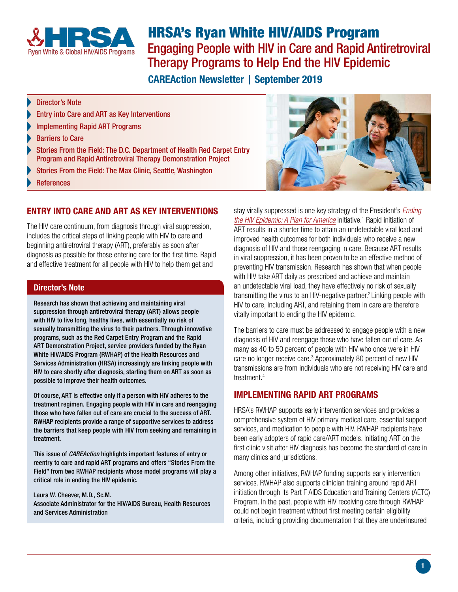<span id="page-0-2"></span>

# HRSA's Ryan White HIV/AIDS Program

Engaging People with HIV in Care and Rapid Antiretroviral Therapy Programs to Help End the HIV Epidemic

**CAREAction Newsletter | September 2019** 

#### Director's Note

- [Entry into Care and ART as Key Interventions](#page-0-0)
- [Implementing Rapid ART Programs](#page-0-1)
- [Barriers to Care](#page-1-0)
- [Stories From the Field: The D.C. Department of Health Red Carpet Entry](#page-1-1)  [Program and Rapid Antiretroviral Therapy Demonstration Project](#page-1-1)
- [Stories From the Field: The Max Clinic, Seattle, Washington](#page-1-2)
- **[References](#page-2-0)**

# ENTRY INTO CARE AND ART AS KEY INTERVENTIONS

<span id="page-0-0"></span>The HIV care continuum, from diagnosis through viral suppression, includes the critical steps of linking people with HIV to care and

beginning antiretroviral therapy (ART), preferably as soon after diagnosis as possible for those entering care for the first time. Rapid and effective treatment for all people with HIV to help them get and

#### Director's Note

Research has shown that achieving and maintaining viral suppression through antiretroviral therapy (ART) allows people with HIV to live long, healthy lives, with essentially no risk of sexually transmitting the virus to their partners. Through innovative programs, such as the Red Carpet Entry Program and the Rapid ART Demonstration Project, service providers funded by the Ryan White HIV/AIDS Program (RWHAP) of the Health Resources and Services Administration (HRSA) increasingly are linking people with HIV to care shortly after diagnosis, starting them on ART as soon as possible to improve their health outcomes.

Of course, ART is effective only if a person with HIV adheres to the treatment regimen. Engaging people with HIV in care and reengaging those who have fallen out of care are crucial to the success of ART. RWHAP recipients provide a range of supportive services to address the barriers that keep people with HIV from seeking and remaining in treatment.

This issue of *CAREAction* highlights important features of entry or reentry to care and rapid ART programs and offers "Stories From the Field" from two RWHAP recipients whose model programs will play a critical role in ending the HIV epidemic.

Laura W. Cheever, M.D., Sc.M. Associate Administrator for the HIV/AIDS Bureau, Health Resources and Services Administration

stay virally suppressed is one key strategy of the President's *[Ending](https://www.hiv.gov/federal-response/ending-the-hiv-epidemic/overview)  [the HIV Epidemic: A Plan for America](https://www.hiv.gov/federal-response/ending-the-hiv-epidemic/overview)* initiative.<sup>1</sup> Rapid initiation of ART results in a shorter time to attain an undetectable viral load and improved health outcomes for both individuals who receive a new diagnosis of HIV and those reengaging in care. Because ART results in viral suppression, it has been proven to be an effective method of preventing HIV transmission. Research has shown that when people with HIV take ART daily as prescribed and achieve and maintain an undetectable viral load, they have effectively no risk of sexually transmitting the virus to an HIV-negative partner.<sup>[2](#page-2-0)</sup> Linking people with HIV to care, including ART, and retaining them in care are therefore vitally important to ending the HIV epidemic.

The barriers to care must be addressed to engage people with a new diagnosis of HIV and reengage those who have fallen out of care. As many as 40 to 50 percent of people with HIV who once were in HIV care no longer receive care[.](#page-2-0)<sup>3</sup> Approximately 80 percent of new HIV transmissions are from individuals who are not receiving HIV care and treatment[.4](#page-2-0)

# <span id="page-0-1"></span>IMPLEMENTING RAPID ART PROGRAMS

HRSA's RWHAP supports early intervention services and provides a comprehensive system of HIV primary medical care, essential support services, and medication to people with HIV. RWHAP recipients have been early adopters of rapid care/ART models. Initiating ART on the first clinic visit after HIV diagnosis has become the standard of care in many clinics and jurisdictions.

Among other initiatives, RWHAP funding supports early intervention services. RWHAP also supports clinician training around rapid ART initiation through its Part F AIDS Education and Training Centers (AETC) Program. In the past, people with HIV receiving care through RWHAP could not begin treatment without first meeting certain eligibility criteria, including providing documentation that they are underinsured



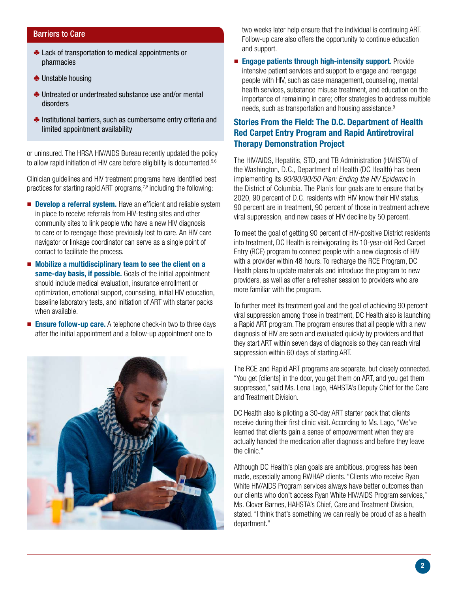#### <span id="page-1-3"></span><span id="page-1-2"></span><span id="page-1-0"></span>Barriers to Care

- $\triangle$  Lack of transportation to medical appointments or pharmacies
- $\triangle$  Unstable housing
- $\triangle$  Untreated or undertreated substance use and/or mental disorders
- $\triangle$  Institutional barriers, such as cumbersome entry criteria and limited appointment availability

or uninsured. The HRSA HIV/AIDS Bureau recently updated the policy to allow rapid initiation of HIV care before eligibility is documented.<sup>5,6</sup>

Clinician guidelines and HIV treatment programs have identified best practices for starting rapid ART programs,  $7,8$  including the following:

- Develop a referral system. Have an efficient and reliable system in place to receive referrals from HIV-testing sites and other community sites to link people who have a new HIV diagnosis to care or to reengage those previously lost to care. An HIV care navigator or linkage coordinator can serve as a single point of contact to facilitate the process.
- Mobilize a multidisciplinary team to see the client on a same-day basis, if possible. Goals of the initial appointment should include medical evaluation, insurance enrollment or optimization, emotional support, counseling, initial HIV education, baseline laboratory tests, and initiation of ART with starter packs when available.
- Ensure follow-up care. A telephone check-in two to three days after the initial appointment and a follow-up appointment one to



two weeks later help ensure that the individual is continuing ART. Follow-up care also offers the opportunity to continue education and support.

■ Engage patients through high-intensity support. Provide intensive patient services and support to engage and reengage people with HIV, such as case management, counseling, mental health services, substance misuse treatment, and education on the importance of remaining in care; offer strategies to address multiple needs, such as transportation and housing assistance.<sup>9</sup>

# <span id="page-1-1"></span>Stories From the Field: The D.C. Department of Health Red Carpet Entry Program and Rapid Antiretroviral Therapy Demonstration Project

The HIV/AIDS, Hepatitis, STD, and TB Administration (HAHSTA) of the Washington, D.C., Department of Health (DC Health) has been implementing its *90/90/90/50 Plan: Ending the HIV Epidemic* in the District of Columbia*.* The Plan's four goals are to ensure that by 2020, 90 percent of D.C. residents with HIV know their HIV status, 90 percent are in treatment, 90 percent of those in treatment achieve viral suppression, and new cases of HIV decline by 50 percent.

To meet the goal of getting 90 percent of HIV-positive District residents into treatment, DC Health is reinvigorating its 10-year-old Red Carpet Entry (RCE) program to connect people with a new diagnosis of HIV with a provider within 48 hours. To recharge the RCE Program, DC Health plans to update materials and introduce the program to new providers, as well as offer a refresher session to providers who are more familiar with the program.

To further meet its treatment goal and the goal of achieving 90 percent viral suppression among those in treatment, DC Health also is launching a Rapid ART program. The program ensures that all people with a new diagnosis of HIV are seen and evaluated quickly by providers and that they start ART within seven days of diagnosis so they can reach viral suppression within 60 days of starting ART.

The RCE and Rapid ART programs are separate, but closely connected. "You get [clients] in the door, you get them on ART, and you get them suppressed," said Ms. Lena Lago, HAHSTA's Deputy Chief for the Care and Treatment Division.

DC Health also is piloting a 30-day ART starter pack that clients receive during their first clinic visit. According to Ms. Lago, "We've learned that clients gain a sense of empowerment when they are actually handed the medication after diagnosis and before they leave the clinic."

Although DC Health's plan goals are ambitious, progress has been made, especially among RWHAP clients. "Clients who receive Ryan White HIV/AIDS Program services always have better outcomes than our clients who don't access Ryan White HIV/AIDS Program services," Ms. Clover Barnes, HAHSTA's Chief, Care and Treatment Division, stated. "I think that's something we can really be proud of as a health department."